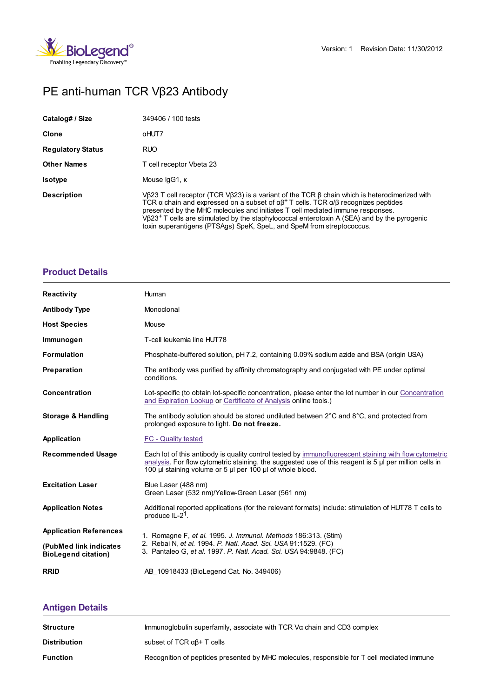

# PE anti-human TCR Vβ23 Antibody

| Catalog# / Size          | 349406 / 100 tests                                                                                                                                                                                                                                                                                                                                                                                                                                                                 |
|--------------------------|------------------------------------------------------------------------------------------------------------------------------------------------------------------------------------------------------------------------------------------------------------------------------------------------------------------------------------------------------------------------------------------------------------------------------------------------------------------------------------|
| <b>Clone</b>             | αHUT7                                                                                                                                                                                                                                                                                                                                                                                                                                                                              |
| <b>Regulatory Status</b> | <b>RUO</b>                                                                                                                                                                                                                                                                                                                                                                                                                                                                         |
| <b>Other Names</b>       | T cell receptor Vbeta 23                                                                                                                                                                                                                                                                                                                                                                                                                                                           |
| <b>Isotype</b>           | Mouse IgG1, K                                                                                                                                                                                                                                                                                                                                                                                                                                                                      |
| <b>Description</b>       | VB23 T cell receptor (TCR VB23) is a variant of the TCR $\beta$ chain which is heterodimerized with<br>TCR $\alpha$ chain and expressed on a subset of $\alpha\beta^+$ T cells. TCR $\alpha/\beta$ recognizes peptides<br>presented by the MHC molecules and initiates T cell mediated immune responses.<br>$V623+$ T cells are stimulated by the staphylococcal enterotoxin A (SEA) and by the pyrogenic<br>toxin superantigens (PTSAgs) SpeK, SpeL, and SpeM from streptococcus. |

## **[Product](https://www.biolegend.com/en-gb/products/pe-anti-human-tcr-vbeta23-antibody-7345?pdf=true&displayInline=true&leftRightMargin=15&topBottomMargin=15&filename=PE anti-human TCR V%EF%BF%BD%EF%BF%BD23 Antibody.pdf#productDetails) Details**

| <b>Reactivity</b>                                    | Human                                                                                                                                                                                                                                                                            |  |
|------------------------------------------------------|----------------------------------------------------------------------------------------------------------------------------------------------------------------------------------------------------------------------------------------------------------------------------------|--|
| <b>Antibody Type</b>                                 | Monoclonal                                                                                                                                                                                                                                                                       |  |
| <b>Host Species</b>                                  | Mouse                                                                                                                                                                                                                                                                            |  |
| Immunogen                                            | T-cell leukemia line HUT78                                                                                                                                                                                                                                                       |  |
| <b>Formulation</b>                                   | Phosphate-buffered solution, pH 7.2, containing 0.09% sodium azide and BSA (origin USA)                                                                                                                                                                                          |  |
| Preparation                                          | The antibody was purified by affinity chromatography and conjugated with PE under optimal<br>conditions.                                                                                                                                                                         |  |
| Concentration                                        | Lot-specific (to obtain lot-specific concentration, please enter the lot number in our Concentration<br>and Expiration Lookup or Certificate of Analysis online tools.)                                                                                                          |  |
| <b>Storage &amp; Handling</b>                        | The antibody solution should be stored undiluted between $2^{\circ}$ C and $8^{\circ}$ C, and protected from<br>prolonged exposure to light. Do not freeze.                                                                                                                      |  |
| Application                                          | FC - Quality tested                                                                                                                                                                                                                                                              |  |
| <b>Recommended Usage</b>                             | Each lot of this antibody is quality control tested by immunofluorescent staining with flow cytometric<br>analysis. For flow cytometric staining, the suggested use of this reagent is $5 \mu$ per million cells in<br>100 µl staining volume or 5 µl per 100 µl of whole blood. |  |
| <b>Excitation Laser</b>                              | Blue Laser (488 nm)<br>Green Laser (532 nm)/Yellow-Green Laser (561 nm)                                                                                                                                                                                                          |  |
| <b>Application Notes</b>                             | Additional reported applications (for the relevant formats) include: stimulation of HUT78 T cells to<br>produce $IL-2^7$ .                                                                                                                                                       |  |
| <b>Application References</b>                        | 1. Romagne F, et al. 1995. J. Immunol. Methods 186:313. (Stim)<br>2. Rebai N, et al. 1994. P. Natl. Acad. Sci. USA 91:1529. (FC)<br>3. Pantaleo G, et al. 1997. P. Natl. Acad. Sci. USA 94:9848. (FC)                                                                            |  |
| (PubMed link indicates<br><b>BioLegend citation)</b> |                                                                                                                                                                                                                                                                                  |  |
|                                                      |                                                                                                                                                                                                                                                                                  |  |

## **[Antigen](https://www.biolegend.com/en-gb/products/pe-anti-human-tcr-vbeta23-antibody-7345?pdf=true&displayInline=true&leftRightMargin=15&topBottomMargin=15&filename=PE anti-human TCR V%EF%BF%BD%EF%BF%BD23 Antibody.pdf#antigenDetails) Details**

| <b>Structure</b>    | Immunoglobulin superfamily, associate with $TCR$ V $\alpha$ chain and CD3 complex          |
|---------------------|--------------------------------------------------------------------------------------------|
| <b>Distribution</b> | subset of TCR $\alpha\beta$ + T cells                                                      |
| <b>Function</b>     | Recognition of peptides presented by MHC molecules, responsible for T cell mediated immune |